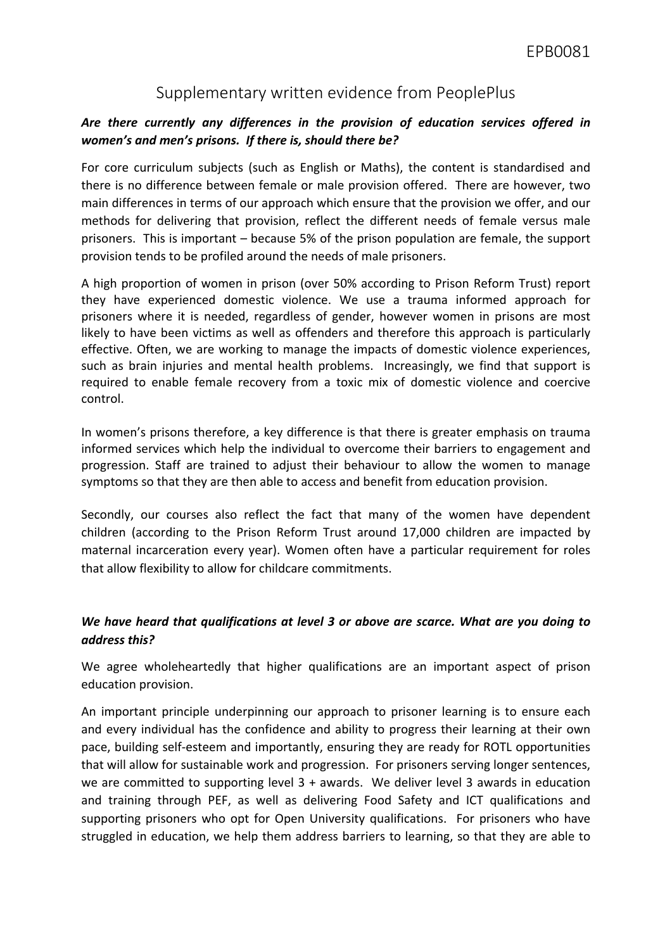# Supplementary written evidence from PeoplePlus

# *Are there currently any differences in the provision of education services offered in women's and men's prisons. If there is, should there be?*

For core curriculum subjects (such as English or Maths), the content is standardised and there is no difference between female or male provision offered. There are however, two main differences in terms of our approach which ensure that the provision we offer, and our methods for delivering that provision, reflect the different needs of female versus male prisoners. This is important – because 5% of the prison population are female, the support provision tends to be profiled around the needs of male prisoners.

A high proportion of women in prison (over 50% according to Prison Reform Trust) report they have experienced domestic violence. We use a trauma informed approach for prisoners where it is needed, regardless of gender, however women in prisons are most likely to have been victims as well as offenders and therefore this approach is particularly effective. Often, we are working to manage the impacts of domestic violence experiences, such as brain injuries and mental health problems. Increasingly, we find that support is required to enable female recovery from a toxic mix of domestic violence and coercive control.

In women's prisons therefore, a key difference is that there is greater emphasis on trauma informed services which help the individual to overcome their barriers to engagement and progression. Staff are trained to adjust their behaviour to allow the women to manage symptoms so that they are then able to access and benefit from education provision.

Secondly, our courses also reflect the fact that many of the women have dependent children (according to the Prison Reform Trust around 17,000 children are impacted by maternal incarceration every year). Women often have a particular requirement for roles that allow flexibility to allow for childcare commitments.

### *We have heard that qualifications at level 3 or above are scarce. What are you doing to address this?*

We agree wholeheartedly that higher qualifications are an important aspect of prison education provision.

An important principle underpinning our approach to prisoner learning is to ensure each and every individual has the confidence and ability to progress their learning at their own pace, building self-esteem and importantly, ensuring they are ready for ROTL opportunities that will allow for sustainable work and progression. For prisoners serving longer sentences, we are committed to supporting level 3 + awards. We deliver level 3 awards in education and training through PEF, as well as delivering Food Safety and ICT qualifications and supporting prisoners who opt for Open University qualifications. For prisoners who have struggled in education, we help them address barriers to learning, so that they are able to